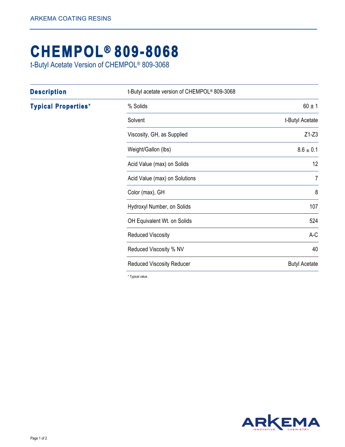## **CHEMPOL® 809-8068**

t-Butyl Acetate Version of CHEMPOL® 809-3068

| <b>Description</b>         | t-Butyl acetate version of CHEMPOL® 809-3068 |                      |
|----------------------------|----------------------------------------------|----------------------|
| <b>Typical Properties*</b> | % Solids                                     | $60 \pm 1$           |
|                            | Solvent                                      | t-Butyl Acetate      |
|                            | Viscosity, GH, as Supplied                   | $Z1-Z3$              |
|                            | Weight/Gallon (lbs)                          | $8.6 \pm 0.1$        |
|                            | Acid Value (max) on Solids                   | 12                   |
|                            | Acid Value (max) on Solutions                | $\overline{7}$       |
|                            | Color (max), GH                              | 8                    |
|                            | Hydroxyl Number, on Solids                   | 107                  |
|                            | OH Equivalent Wt. on Solids                  | 524                  |
|                            | <b>Reduced Viscosity</b>                     | $A-C$                |
|                            | Reduced Viscosity % NV                       | 40                   |
|                            | <b>Reduced Viscosity Reducer</b>             | <b>Butyl Acetate</b> |

\* Typical value